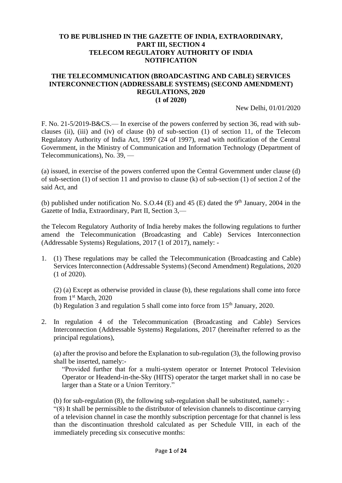#### **TO BE PUBLISHED IN THE GAZETTE OF INDIA, EXTRAORDINARY, PART III, SECTION 4 TELECOM REGULATORY AUTHORITY OF INDIA NOTIFICATION**

#### **THE TELECOMMUNICATION (BROADCASTING AND CABLE) SERVICES INTERCONNECTION (ADDRESSABLE SYSTEMS) (SECOND AMENDMENT) REGULATIONS, 2020 (1 of 2020)**

New Delhi, 01/01/2020

F. No. 21-5/2019-B&CS.— In exercise of the powers conferred by section 36, read with subclauses (ii), (iii) and (iv) of clause (b) of sub-section (1) of section 11, of the Telecom Regulatory Authority of India Act, 1997 (24 of 1997), read with notification of the Central Government, in the Ministry of Communication and Information Technology (Department of Telecommunications), No. 39, —

(a) issued, in exercise of the powers conferred upon the Central Government under clause (d) of sub-section (1) of section 11 and proviso to clause (k) of sub-section (1) of section 2 of the said Act, and

(b) published under notification No. S.O.44 (E) and 45 (E) dated the  $9<sup>th</sup>$  January, 2004 in the Gazette of India, Extraordinary, Part II, Section 3,—

the Telecom Regulatory Authority of India hereby makes the following regulations to further amend the Telecommunication (Broadcasting and Cable) Services Interconnection (Addressable Systems) Regulations, 2017 (1 of 2017), namely: -

1. (1) These regulations may be called the Telecommunication (Broadcasting and Cable) Services Interconnection (Addressable Systems) (Second Amendment) Regulations, 2020 (1 of 2020).

(2) (a) Except as otherwise provided in clause (b), these regulations shall come into force from 1<sup>st</sup> March, 2020 (b) Regulation 3 and regulation 5 shall come into force from  $15<sup>th</sup>$  January, 2020.

2. In regulation 4 of the Telecommunication (Broadcasting and Cable) Services Interconnection (Addressable Systems) Regulations, 2017 (hereinafter referred to as the principal regulations),

(a) after the proviso and before the Explanation to sub-regulation (3), the following proviso shall be inserted, namely:-

"Provided further that for a multi-system operator or Internet Protocol Television Operator or Headend-in-the-Sky (HITS) operator the target market shall in no case be larger than a State or a Union Territory."

(b) for sub-regulation (8), the following sub-regulation shall be substituted, namely: -

"(8) It shall be permissible to the distributor of television channels to discontinue carrying of a television channel in case the monthly subscription percentage for that channel is less than the discontinuation threshold calculated as per Schedule VIII, in each of the immediately preceding six consecutive months: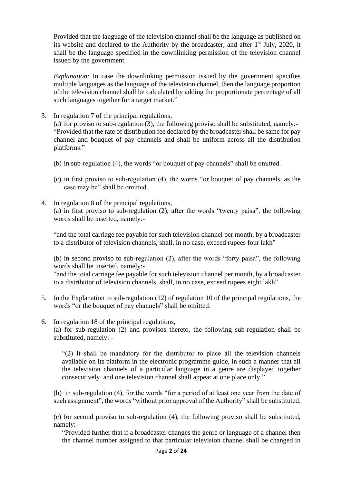Provided that the language of the television channel shall be the language as published on its website and declared to the Authority by the broadcaster, and after  $1<sup>st</sup>$  July, 2020, it shall be the language specified in the downlinking permission of the television channel issued by the government.

*Explanation:* In case the downlinking permission issued by the government specifies multiple languages as the language of the television channel, then the language proportion of the television channel shall be calculated by adding the proportionate percentage of all such languages together for a target market."

3. In regulation 7 of the principal regulations,

(a) for proviso to sub-regulation (3), the following proviso shall be substituted, namely:- "Provided that the rate of distribution fee declared by the broadcaster shall be same for pay channel and bouquet of pay channels and shall be uniform across all the distribution platforms."

- (b) in sub-regulation (4), the words "or bouquet of pay channels" shall be omitted.
- (c) in first proviso to sub-regulation (4), the words "or bouquet of pay channels, as the case may be" shall be omitted.

### 4. In regulation 8 of the principal regulations, (a) in first proviso to sub-regulation (2), after the words "twenty paisa", the following words shall be inserted, namely:-

"and the total carriage fee payable for such television channel per month, by a broadcaster to a distributor of television channels, shall, in no case, exceed rupees four lakh"

(b) in second proviso to sub-regulation (2), after the words "forty paisa", the following words shall be inserted, namely:-

"and the total carriage fee payable for such television channel per month, by a broadcaster to a distributor of television channels, shall, in no case, exceed rupees eight lakh"

- 5. In the Explanation to sub-regulation (12) of regulation 10 of the principal regulations, the words "or the bouquet of pay channels" shall be omitted.
- 6. In regulation 18 of the principal regulations,

(a) for sub-regulation (2) and provisos thereto, the following sub-regulation shall be substituted, namely: -

"(2) It shall be mandatory for the distributor to place all the television channels available on its platform in the electronic programme guide, in such a manner that all the television channels of a particular language in a genre are displayed together consecutively and one television channel shall appear at one place only."

(b) in sub-regulation (4), for the words "for a period of at least one year from the date of such assignment", the words "without prior approval of the Authority" shall be substituted.

(c) for second proviso to sub-regulation (4), the following proviso shall be substituted, namely:-

"Provided further that if a broadcaster changes the genre or language of a channel then the channel number assigned to that particular television channel shall be changed in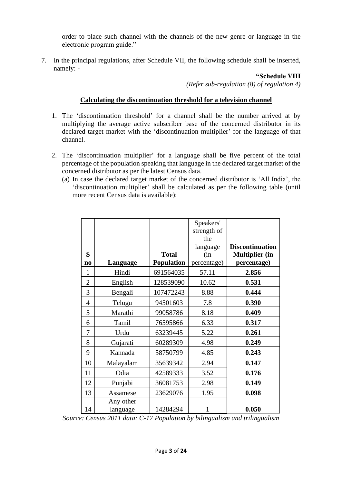order to place such channel with the channels of the new genre or language in the electronic program guide."

7. In the principal regulations, after Schedule VII, the following schedule shall be inserted, namely: -

#### **"Schedule VIII**

*(Refer sub-regulation (8) of regulation 4)*

## **Calculating the discontinuation threshold for a television channel**

- 1. The 'discontinuation threshold' for a channel shall be the number arrived at by multiplying the average active subscriber base of the concerned distributor in its declared target market with the 'discontinuation multiplier' for the language of that channel.
- 2. The 'discontinuation multiplier' for a language shall be five percent of the total percentage of the population speaking that language in the declared target market of the concerned distributor as per the latest Census data.
	- (a) In case the declared target market of the concerned distributor is 'All India', the 'discontinuation multiplier' shall be calculated as per the following table (until more recent Census data is available):

|                |                       |                   | Speakers'   |                        |
|----------------|-----------------------|-------------------|-------------|------------------------|
|                |                       |                   | strength of |                        |
|                |                       |                   | the         |                        |
|                |                       |                   | language    | <b>Discontinuation</b> |
| S              |                       | <b>Total</b>      | (in         | <b>Multiplier</b> (in  |
| n <sub>0</sub> | Language              | <b>Population</b> | percentage) | percentage)            |
| 1              | Hindi                 | 691564035         | 57.11       | 2.856                  |
| $\overline{2}$ | English               | 128539090         | 10.62       | 0.531                  |
| 3              | Bengali               | 107472243         | 8.88        | 0.444                  |
| $\overline{4}$ | Telugu                | 94501603          | 7.8         | 0.390                  |
| 5              | Marathi               | 99058786          | 8.18        | 0.409                  |
| 6              | Tamil                 | 76595866          | 6.33        | 0.317                  |
| 7              | Urdu                  | 63239445          | 5.22        | 0.261                  |
| 8              | Gujarati              | 60289309          | 4.98        | 0.249                  |
| 9              | Kannada               | 58750799          | 4.85        | 0.243                  |
| 10             | Malayalam             | 35639342          | 2.94        | 0.147                  |
| 11             | Odia                  | 42589333          | 3.52        | 0.176                  |
| 12             | Punjabi               | 36081753          | 2.98        | 0.149                  |
| 13             | Assamese              | 23629076          | 1.95        | 0.098                  |
| 14             | Any other<br>language | 14284294          | 1           | 0.050                  |

*Source: Census 2011 data: C-17 Population by bilingualism and trilingualism*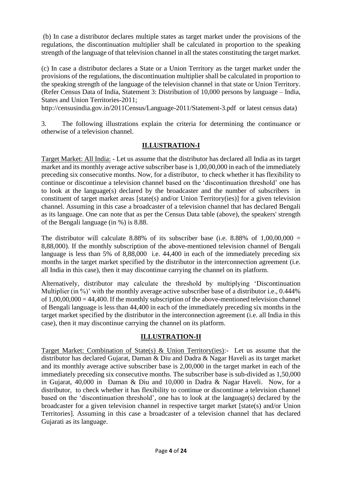(b) In case a distributor declares multiple states as target market under the provisions of the regulations, the discontinuation multiplier shall be calculated in proportion to the speaking strength of the language of that television channel in all the states constituting the target market.

(c) In case a distributor declares a State or a Union Territory as the target market under the provisions of the regulations, the discontinuation multiplier shall be calculated in proportion to the speaking strength of the language of the television channel in that state or Union Territory. (Refer Census Data of India, Statement 3: Distribution of 10,000 persons by language – India, States and Union Territories-2011;

<http://censusindia.gov.in/2011Census/Language-2011/Statement-3.pdf> or latest census data)

3. The following illustrations explain the criteria for determining the continuance or otherwise of a television channel.

## **ILLUSTRATION-I**

Target Market: All India: - Let us assume that the distributor has declared all India as its target market and its monthly average active subscriber base is 1,00,00,000 in each of the immediately preceding six consecutive months. Now, for a distributor, to check whether it has flexibility to continue or discontinue a television channel based on the 'discontinuation threshold' one has to look at the language(s) declared by the broadcaster and the number of subscribers in constituent of target market areas [state(s) and/or Union Territory(ies)] for a given television channel. Assuming in this case a broadcaster of a television channel that has declared Bengali as its language. One can note that as per the Census Data table (above), the speakers' strength of the Bengali language (in %) is 8.88.

The distributor will calculate 8.88% of its subscriber base (i.e. 8.88% of  $1,00,00,000 =$ 8,88,000). If the monthly subscription of the above-mentioned television channel of Bengali language is less than 5% of 8,88,000 i.e. 44,400 in each of the immediately preceding six months in the target market specified by the distributor in the interconnection agreement (i.e. all India in this case), then it may discontinue carrying the channel on its platform.

Alternatively, distributor may calculate the threshold by multiplying 'Discontinuation Multiplier (in %)' with the monthly average active subscriber base of a distributor i.e., 0.444% of  $1,00,00,000 = 44,400$ . If the monthly subscription of the above-mentioned television channel of Bengali language is less than 44,400 in each of the immediately preceding six months in the target market specified by the distributor in the interconnection agreement (i.e. all India in this case), then it may discontinue carrying the channel on its platform.

# **ILLUSTRATION-II**

Target Market: Combination of State(s) & Union Territory(ies):- Let us assume that the distributor has declared Gujarat, Daman & Diu and Dadra & Nagar Haveli as its target market and its monthly average active subscriber base is 2,00,000 in the target market in each of the immediately preceding six consecutive months. The subscriber base is sub-divided as 1,50,000 in Gujarat, 40,000 in Daman & Diu and 10,000 in Dadra & Nagar Haveli. Now, for a distributor, to check whether it has flexibility to continue or discontinue a television channel based on the 'discontinuation threshold', one has to look at the language(s) declared by the broadcaster for a given television channel in respective target market [state(s) and/or Union Territories]. Assuming in this case a broadcaster of a television channel that has declared Gujarati as its language.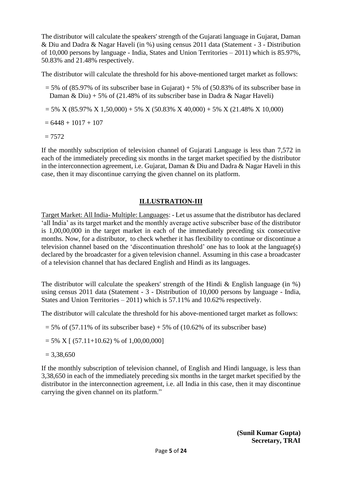The distributor will calculate the speakers' strength of the Gujarati language in Gujarat, Daman & Diu and Dadra & Nagar Haveli (in %) using census 2011 data (Statement - 3 - Distribution of 10,000 persons by language - India, States and Union Territories – 2011) which is 85.97%, 50.83% and 21.48% respectively.

The distributor will calculate the threshold for his above-mentioned target market as follows:

- $= 5\%$  of (85.97% of its subscriber base in Gujarat) + 5% of (50.83% of its subscriber base in Daman & Diu) + 5% of (21.48% of its subscriber base in Dadra & Nagar Haveli)
- $= 5\%$  X (85.97% X 1,50,000) + 5% X (50.83% X 40,000) + 5% X (21.48% X 10,000)

 $= 6448 + 1017 + 107$ 

 $= 7572$ 

If the monthly subscription of television channel of Gujarati Language is less than 7,572 in each of the immediately preceding six months in the target market specified by the distributor in the interconnection agreement, i.e. Gujarat, Daman & Diu and Dadra & Nagar Haveli in this case, then it may discontinue carrying the given channel on its platform.

## **ILLUSTRATION-III**

Target Market: All India- Multiple: Languages: - Let us assume that the distributor has declared 'all India' as its target market and the monthly average active subscriber base of the distributor is 1,00,00,000 in the target market in each of the immediately preceding six consecutive months. Now, for a distributor, to check whether it has flexibility to continue or discontinue a television channel based on the 'discontinuation threshold' one has to look at the language(s) declared by the broadcaster for a given television channel. Assuming in this case a broadcaster of a television channel that has declared English and Hindi as its languages.

The distributor will calculate the speakers' strength of the Hindi  $\&$  English language (in %) using census 2011 data (Statement - 3 - Distribution of 10,000 persons by language - India, States and Union Territories – 2011) which is 57.11% and 10.62% respectively.

The distributor will calculate the threshold for his above-mentioned target market as follows:

 $= 5\%$  of (57.11% of its subscriber base) + 5% of (10.62% of its subscriber base)

 $= 5\%$  X [ (57.11+10.62) % of 1,00,00,000]

 $= 3,38,650$ 

If the monthly subscription of television channel, of English and Hindi language, is less than 3,38,650 in each of the immediately preceding six months in the target market specified by the distributor in the interconnection agreement, i.e. all India in this case, then it may discontinue carrying the given channel on its platform."

> **(Sunil Kumar Gupta) Secretary, TRAI**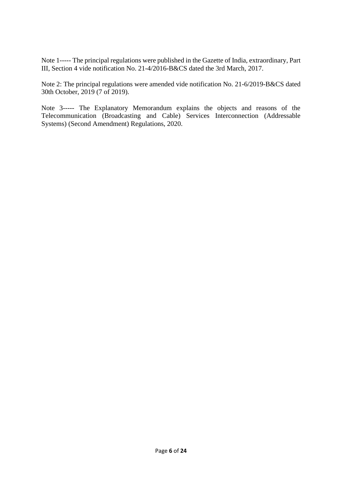Note 1----- The principal regulations were published in the Gazette of India, extraordinary, Part III, Section 4 vide notification No. 21-4/2016-B&CS dated the 3rd March, 2017.

Note 2: The principal regulations were amended vide notification No. 21-6/2019-B&CS dated 30th October, 2019 (7 of 2019).

Note 3----- The Explanatory Memorandum explains the objects and reasons of the Telecommunication (Broadcasting and Cable) Services Interconnection (Addressable Systems) (Second Amendment) Regulations, 2020.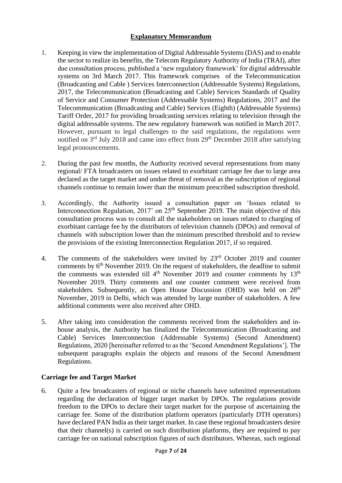## **Explanatory Memorandum**

- 1. Keeping in view the implementation of Digital Addressable Systems (DAS) and to enable the sector to realize its benefits, the Telecom Regulatory Authority of India (TRAI), after due consultation process, published a 'new regulatory framework' for digital addressable systems on 3rd March 2017. This framework comprises of the Telecommunication (Broadcasting and Cable ) Services Interconnection (Addressable Systems) Regulations, 2017, the Telecommunication (Broadcasting and Cable) Services Standards of Quality of Service and Consumer Protection (Addressable Systems) Regulations, 2017 and the Telecommunication (Broadcasting and Cable) Services (Eighth) (Addressable Systems) Tariff Order, 2017 for providing broadcasting services relating to television through the digital addressable systems. The new regulatory framework was notified in March 2017. However, pursuant to legal challenges to the said regulations, the regulations were notified on  $3<sup>rd</sup>$  July 2018 and came into effect from  $29<sup>th</sup>$  December 2018 after satisfying legal pronouncements.
- 2. During the past few months, the Authority received several representations from many regional/ FTA broadcasters on issues related to exorbitant carriage fee due to large area declared as the target market and undue threat of removal as the subscription of regional channels continue to remain lower than the minimum prescribed subscription threshold.
- 3. Accordingly, the Authority issued a consultation paper on 'Issues related to Interconnection Regulation,  $2017'$  on  $25<sup>th</sup>$  September 2019. The main objective of this consultation process was to consult all the stakeholders on issues related to charging of exorbitant carriage fee by the distributors of television channels (DPOs) and removal of channels with subscription lower than the minimum prescribed threshold and to review the provisions of the existing Interconnection Regulation 2017, if so required.
- 4. The comments of the stakeholders were invited by 23<sup>rd</sup> October 2019 and counter comments by  $6<sup>th</sup>$  November 2019. On the request of stakeholders, the deadline to submit the comments was extended till  $4<sup>th</sup>$  November 2019 and counter comments by 13<sup>th</sup> November 2019. Thirty comments and one counter comment were received from stakeholders. Subsequently, an Open House Discussion (OHD) was held on 28<sup>th</sup> November, 2019 in Delhi, which was attended by large number of stakeholders. A few additional comments were also received after OHD.
- 5. After taking into consideration the comments received from the stakeholders and inhouse analysis, the Authority has finalized the Telecommunication (Broadcasting and Cable) Services Interconnection (Addressable Systems) (Second Amendment) Regulations, 2020 [hereinafter referred to as the 'Second Amendment Regulations']. The subsequent paragraphs explain the objects and reasons of the Second Amendment Regulations.

### **Carriage fee and Target Market**

6. Quite a few broadcasters of regional or niche channels have submitted representations regarding the declaration of bigger target market by DPOs. The regulations provide freedom to the DPOs to declare their target market for the purpose of ascertaining the carriage fee. Some of the distribution platform operators (particularly DTH operators) have declared PAN India as their target market. In case these regional broadcasters desire that their channel(s) is carried on such distribution platforms, they are required to pay carriage fee on national subscription figures of such distributors. Whereas, such regional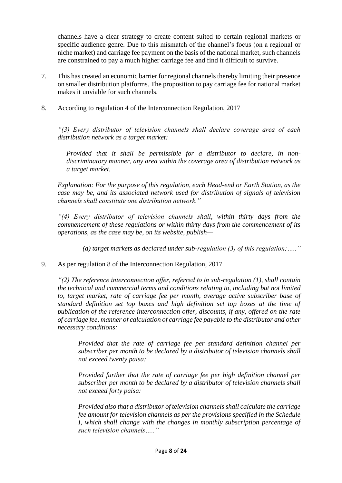channels have a clear strategy to create content suited to certain regional markets or specific audience genre. Due to this mismatch of the channel's focus (on a regional or niche market) and carriage fee payment on the basis of the national market, such channels are constrained to pay a much higher carriage fee and find it difficult to survive.

- 7. This has created an economic barrier for regional channels thereby limiting their presence on smaller distribution platforms. The proposition to pay carriage fee for national market makes it unviable for such channels.
- 8. According to regulation 4 of the Interconnection Regulation, 2017

*"(3) Every distributor of television channels shall declare coverage area of each distribution network as a target market:* 

*Provided that it shall be permissible for a distributor to declare, in nondiscriminatory manner, any area within the coverage area of distribution network as a target market.* 

*Explanation: For the purpose of this regulation, each Head-end or Earth Station, as the case may be, and its associated network used for distribution of signals of television channels shall constitute one distribution network."* 

*"(4) Every distributor of television channels shall, within thirty days from the commencement of these regulations or within thirty days from the commencement of its operations, as the case may be, on its website, publish—*

*(a) target markets as declared under sub-regulation (3) of this regulation;….."* 

9. As per regulation 8 of the Interconnection Regulation, 2017

*"(2) The reference interconnection offer, referred to in sub-regulation (1), shall contain the technical and commercial terms and conditions relating to, including but not limited to, target market, rate of carriage fee per month, average active subscriber base of standard definition set top boxes and high definition set top boxes at the time of publication of the reference interconnection offer, discounts, if any, offered on the rate of carriage fee, manner of calculation of carriage fee payable to the distributor and other necessary conditions:* 

*Provided that the rate of carriage fee per standard definition channel per subscriber per month to be declared by a distributor of television channels shall not exceed twenty paisa:* 

*Provided further that the rate of carriage fee per high definition channel per subscriber per month to be declared by a distributor of television channels shall not exceed forty paisa:* 

*Provided also that a distributor of television channels shall calculate the carriage fee amount for television channels as per the provisions specified in the Schedule I, which shall change with the changes in monthly subscription percentage of such television channels….."*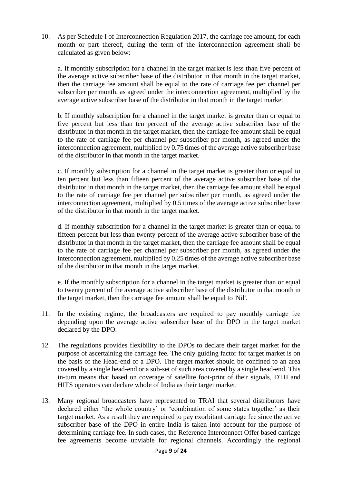10. As per Schedule I of Interconnection Regulation 2017, the carriage fee amount, for each month or part thereof, during the term of the interconnection agreement shall be calculated as given below:

a. If monthly subscription for a channel in the target market is less than five percent of the average active subscriber base of the distributor in that month in the target market, then the carriage fee amount shall be equal to the rate of carriage fee per channel per subscriber per month, as agreed under the interconnection agreement, multiplied by the average active subscriber base of the distributor in that month in the target market

b. If monthly subscription for a channel in the target market is greater than or equal to five percent but less than ten percent of the average active subscriber base of the distributor in that month in the target market, then the carriage fee amount shall be equal to the rate of carriage fee per channel per subscriber per month, as agreed under the interconnection agreement, multiplied by 0.75 times of the average active subscriber base of the distributor in that month in the target market.

c. If monthly subscription for a channel in the target market is greater than or equal to ten percent but less than fifteen percent of the average active subscriber base of the distributor in that month in the target market, then the carriage fee amount shall be equal to the rate of carriage fee per channel per subscriber per month, as agreed under the interconnection agreement, multiplied by 0.5 times of the average active subscriber base of the distributor in that month in the target market.

d. If monthly subscription for a channel in the target market is greater than or equal to fifteen percent but less than twenty percent of the average active subscriber base of the distributor in that month in the target market, then the carriage fee amount shall be equal to the rate of carriage fee per channel per subscriber per month, as agreed under the interconnection agreement, multiplied by 0.25 times of the average active subscriber base of the distributor in that month in the target market.

e. If the monthly subscription for a channel in the target market is greater than or equal to twenty percent of the average active subscriber base of the distributor in that month in the target market, then the carriage fee amount shall be equal to 'Nil'.

- 11. In the existing regime, the broadcasters are required to pay monthly carriage fee depending upon the average active subscriber base of the DPO in the target market declared by the DPO.
- 12. The regulations provides flexibility to the DPOs to declare their target market for the purpose of ascertaining the carriage fee. The only guiding factor for target market is on the basis of the Head-end of a DPO. The target market should be confined to an area covered by a single head-end or a sub-set of such area covered by a single head-end. This in-turn means that based on coverage of satellite foot-print of their signals, DTH and HITS operators can declare whole of India as their target market.
- 13. Many regional broadcasters have represented to TRAI that several distributors have declared either 'the whole country' or 'combination of some states together' as their target market. As a result they are required to pay exorbitant carriage fee since the active subscriber base of the DPO in entire India is taken into account for the purpose of determining carriage fee. In such cases, the Reference Interconnect Offer based carriage fee agreements become unviable for regional channels. Accordingly the regional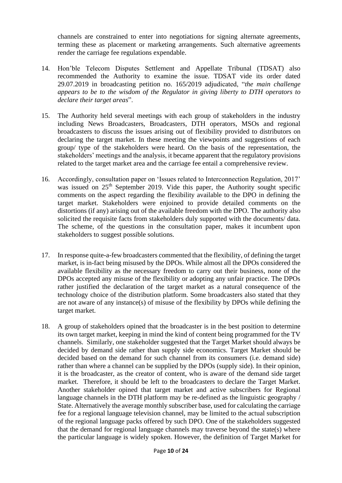channels are constrained to enter into negotiations for signing alternate agreements, terming these as placement or marketing arrangements. Such alternative agreements render the carriage fee regulations expendable.

- 14. Hon'ble Telecom Disputes Settlement and Appellate Tribunal (TDSAT) also recommended the Authority to examine the issue. TDSAT vide its order dated 29.07.2019 in broadcasting petition no. 165/2019 adjudicated, "*the main challenge appears to be to the wisdom of the Regulator in giving liberty to DTH operators to declare their target areas*".
- 15. The Authority held several meetings with each group of stakeholders in the industry including News Broadcasters, Broadcasters, DTH operators, MSOs and regional broadcasters to discuss the issues arising out of flexibility provided to distributors on declaring the target market. In these meeting the viewpoints and suggestions of each group/ type of the stakeholders were heard. On the basis of the representation, the stakeholders' meetings and the analysis, it became apparent that the regulatory provisions related to the target market area and the carriage fee entail a comprehensive review.
- 16. Accordingly, consultation paper on 'Issues related to Interconnection Regulation, 2017' was issued on 25<sup>th</sup> September 2019. Vide this paper, the Authority sought specific comments on the aspect regarding the flexibility available to the DPO in defining the target market. Stakeholders were enjoined to provide detailed comments on the distortions (if any) arising out of the available freedom with the DPO. The authority also solicited the requisite facts from stakeholders duly supported with the documents/ data. The scheme, of the questions in the consultation paper, makes it incumbent upon stakeholders to suggest possible solutions.
- 17. In response quite-a-few broadcasters commented that the flexibility, of defining the target market, is in-fact being misused by the DPOs. While almost all the DPOs considered the available flexibility as the necessary freedom to carry out their business, none of the DPOs accepted any misuse of the flexibility or adopting any unfair practice. The DPOs rather justified the declaration of the target market as a natural consequence of the technology choice of the distribution platform. Some broadcasters also stated that they are not aware of any instance(s) of misuse of the flexibility by DPOs while defining the target market.
- 18. A group of stakeholders opined that the broadcaster is in the best position to determine its own target market, keeping in mind the kind of content being programmed for the TV channels. Similarly, one stakeholder suggested that the Target Market should always be decided by demand side rather than supply side economics. Target Market should be decided based on the demand for such channel from its consumers (i.e. demand side) rather than where a channel can be supplied by the DPOs (supply side). In their opinion, it is the broadcaster, as the creator of content, who is aware of the demand side target market. Therefore, it should be left to the broadcasters to declare the Target Market. Another stakeholder opined that target market and active subscribers for Regional language channels in the DTH platform may be re-defined as the linguistic geography / State. Alternatively the average monthly subscriber base, used for calculating the carriage fee for a regional language television channel, may be limited to the actual subscription of the regional language packs offered by such DPO. One of the stakeholders suggested that the demand for regional language channels may traverse beyond the state(s) where the particular language is widely spoken. However, the definition of Target Market for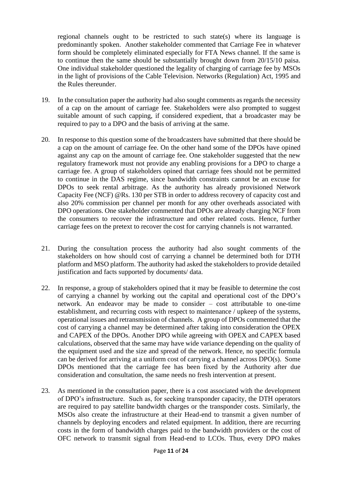regional channels ought to be restricted to such state(s) where its language is predominantly spoken. Another stakeholder commented that Carriage Fee in whatever form should be completely eliminated especially for FTA News channel. If the same is to continue then the same should be substantially brought down from 20/15/10 paisa. One individual stakeholder questioned the legality of charging of carriage fee by MSOs in the light of provisions of the Cable Television. Networks (Regulation) Act, 1995 and the Rules thereunder.

- 19. In the consultation paper the authority had also sought comments as regards the necessity of a cap on the amount of carriage fee. Stakeholders were also prompted to suggest suitable amount of such capping, if considered expedient, that a broadcaster may be required to pay to a DPO and the basis of arriving at the same.
- 20. In response to this question some of the broadcasters have submitted that there should be a cap on the amount of carriage fee. On the other hand some of the DPOs have opined against any cap on the amount of carriage fee. One stakeholder suggested that the new regulatory framework must not provide any enabling provisions for a DPO to charge a carriage fee. A group of stakeholders opined that carriage fees should not be permitted to continue in the DAS regime, since bandwidth constraints cannot be an excuse for DPOs to seek rental arbitrage. As the authority has already provisioned Network Capacity Fee (NCF) @Rs. 130 per STB in order to address recovery of capacity cost and also 20% commission per channel per month for any other overheads associated with DPO operations. One stakeholder commented that DPOs are already charging NCF from the consumers to recover the infrastructure and other related costs. Hence, further carriage fees on the pretext to recover the cost for carrying channels is not warranted.
- 21. During the consultation process the authority had also sought comments of the stakeholders on how should cost of carrying a channel be determined both for DTH platform and MSO platform. The authority had asked the stakeholders to provide detailed justification and facts supported by documents/ data.
- 22. In response, a group of stakeholders opined that it may be feasible to determine the cost of carrying a channel by working out the capital and operational cost of the DPO's network. An endeavor may be made to consider – cost attributable to one-time establishment, and recurring costs with respect to maintenance / upkeep of the systems, operational issues and retransmission of channels. A group of DPOs commented that the cost of carrying a channel may be determined after taking into consideration the OPEX and CAPEX of the DPOs. Another DPO while agreeing with OPEX and CAPEX based calculations, observed that the same may have wide variance depending on the quality of the equipment used and the size and spread of the network. Hence, no specific formula can be derived for arriving at a uniform cost of carrying a channel across DPO(s). Some DPOs mentioned that the carriage fee has been fixed by the Authority after due consideration and consultation, the same needs no fresh intervention at present.
- 23. As mentioned in the consultation paper, there is a cost associated with the development of DPO's infrastructure. Such as, for seeking transponder capacity, the DTH operators are required to pay satellite bandwidth charges or the transponder costs. Similarly, the MSOs also create the infrastructure at their Head-end to transmit a given number of channels by deploying encoders and related equipment. In addition, there are recurring costs in the form of bandwidth charges paid to the bandwidth providers or the cost of OFC network to transmit signal from Head-end to LCOs. Thus, every DPO makes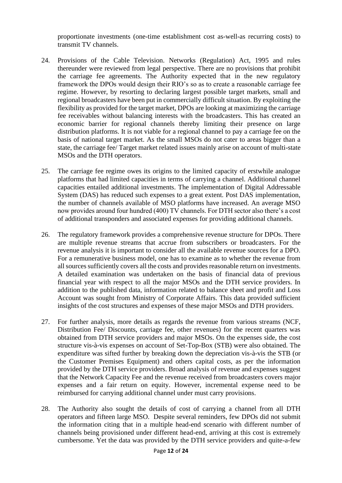proportionate investments (one-time establishment cost as-well-as recurring costs) to transmit TV channels.

- 24. Provisions of the Cable Television. Networks (Regulation) Act, 1995 and rules thereunder were reviewed from legal perspective. There are no provisions that prohibit the carriage fee agreements. The Authority expected that in the new regulatory framework the DPOs would design their RIO's so as to create a reasonable carriage fee regime. However, by resorting to declaring largest possible target markets, small and regional broadcasters have been put in commercially difficult situation. By exploiting the flexibility as provided for the target market, DPOs are looking at maximizing the carriage fee receivables without balancing interests with the broadcasters. This has created an economic barrier for regional channels thereby limiting their presence on large distribution platforms. It is not viable for a regional channel to pay a carriage fee on the basis of national target market. As the small MSOs do not cater to areas bigger than a state, the carriage fee/ Target market related issues mainly arise on account of multi-state MSOs and the DTH operators.
- 25. The carriage fee regime owes its origins to the limited capacity of erstwhile analogue platforms that had limited capacities in terms of carrying a channel. Additional channel capacities entailed additional investments. The implementation of Digital Addressable System (DAS) has reduced such expenses to a great extent. Post DAS implementation, the number of channels available of MSO platforms have increased. An average MSO now provides around four hundred (400) TV channels. For DTH sector also there's a cost of additional transponders and associated expenses for providing additional channels.
- 26. The regulatory framework provides a comprehensive revenue structure for DPOs. There are multiple revenue streams that accrue from subscribers or broadcasters. For the revenue analysis it is important to consider all the available revenue sources for a DPO. For a remunerative business model, one has to examine as to whether the revenue from all sources sufficiently covers all the costs and provides reasonable return on investments. A detailed examination was undertaken on the basis of financial data of previous financial year with respect to all the major MSOs and the DTH service providers. In addition to the published data, information related to balance sheet and profit and Loss Account was sought from Ministry of Corporate Affairs. This data provided sufficient insights of the cost structures and expenses of these major MSOs and DTH providers.
- 27. For further analysis, more details as regards the revenue from various streams (NCF, Distribution Fee/ Discounts, carriage fee, other revenues) for the recent quarters was obtained from DTH service providers and major MSOs. On the expenses side, the cost structure vis-à-vis expenses on account of Set-Top-Box (STB) were also obtained. The expenditure was sifted further by breaking down the depreciation vis-à-vis the STB (or the Customer Premises Equipment) and others capital costs, as per the information provided by the DTH service providers. Broad analysis of revenue and expenses suggest that the Network Capacity Fee and the revenue received from broadcasters covers major expenses and a fair return on equity. However, incremental expense need to be reimbursed for carrying additional channel under must carry provisions.
- 28. The Authority also sought the details of cost of carrying a channel from all DTH operators and fifteen large MSO. Despite several reminders, few DPOs did not submit the information citing that in a multiple head-end scenario with different number of channels being provisioned under different head-end, arriving at this cost is extremely cumbersome. Yet the data was provided by the DTH service providers and quite-a-few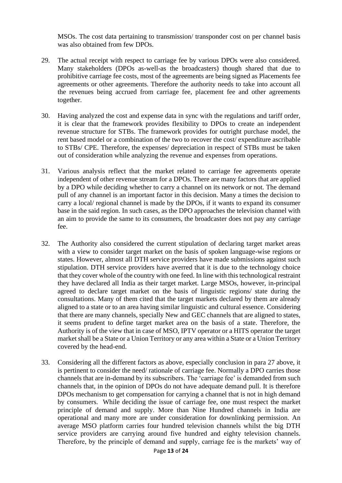MSOs. The cost data pertaining to transmission/ transponder cost on per channel basis was also obtained from few DPOs.

- 29. The actual receipt with respect to carriage fee by various DPOs were also considered. Many stakeholders (DPOs as-well-as the broadcasters) though shared that due to prohibitive carriage fee costs, most of the agreements are being signed as Placements fee agreements or other agreements. Therefore the authority needs to take into account all the revenues being accrued from carriage fee, placement fee and other agreements together.
- 30. Having analyzed the cost and expense data in sync with the regulations and tariff order, it is clear that the framework provides flexibility to DPOs to create an independent revenue structure for STBs. The framework provides for outright purchase model, the rent based model or a combination of the two to recover the cost/ expenditure ascribable to STBs/ CPE. Therefore, the expenses/ depreciation in respect of STBs must be taken out of consideration while analyzing the revenue and expenses from operations.
- 31. Various analysis reflect that the market related to carriage fee agreements operate independent of other revenue stream for a DPOs. There are many factors that are applied by a DPO while deciding whether to carry a channel on its network or not. The demand pull of any channel is an important factor in this decision. Many a times the decision to carry a local/ regional channel is made by the DPOs, if it wants to expand its consumer base in the said region. In such cases, as the DPO approaches the television channel with an aim to provide the same to its consumers, the broadcaster does not pay any carriage fee.
- 32. The Authority also considered the current stipulation of declaring target market areas with a view to consider target market on the basis of spoken language-wise regions or states. However, almost all DTH service providers have made submissions against such stipulation. DTH service providers have averred that it is due to the technology choice that they cover whole of the country with one feed. In line with this technological restraint they have declared all India as their target market. Large MSOs, however, in-principal agreed to declare target market on the basis of linguistic regions/ state during the consultations. Many of them cited that the target markets declared by them are already aligned to a state or to an area having similar linguistic and cultural essence. Considering that there are many channels, specially New and GEC channels that are aligned to states, it seems prudent to define target market area on the basis of a state. Therefore, the Authority is of the view that in case of MSO, IPTV operator or a HITS operator the target market shall be a State or a Union Territory or any area within a State or a Union Territory covered by the head-end.
- 33. Considering all the different factors as above, especially conclusion in para 27 above, it is pertinent to consider the need/ rationale of carriage fee. Normally a DPO carries those channels that are in-demand by its subscribers. The 'carriage fee' is demanded from such channels that, in the opinion of DPOs do not have adequate demand pull. It is therefore DPOs mechanism to get compensation for carrying a channel that is not in high demand by consumers. While deciding the issue of carriage fee, one must respect the market principle of demand and supply. More than Nine Hundred channels in India are operational and many more are under consideration for downlinking permission. An average MSO platform carries four hundred television channels whilst the big DTH service providers are carrying around five hundred and eighty television channels. Therefore, by the principle of demand and supply, carriage fee is the markets' way of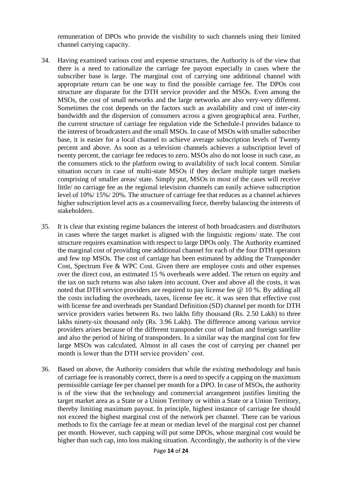remuneration of DPOs who provide the visibility to such channels using their limited channel carrying capacity.

- 34. Having examined various cost and expense structures, the Authority is of the view that there is a need to rationalize the carriage fee payout especially in cases where the subscriber base is large. The marginal cost of carrying one additional channel with appropriate return can be one way to find the possible carriage fee. The DPOs cost structure are disparate for the DTH service provider and the MSOs. Even among the MSOs, the cost of small networks and the large networks are also very-very different. Sometimes the cost depends on the factors such as availability and cost of inter-city bandwidth and the dispersion of consumers across a given geographical area. Further, the current structure of carriage fee regulation vide the Schedule-I provides balance to the interest of broadcasters and the small MSOs. In case of MSOs with smaller subscriber base, it is easier for a local channel to achieve average subscription levels of Twenty percent and above. As soon as a television channels achieves a subscription level of twenty percent, the carriage fee reduces to zero. MSOs also do not loose in such case, as the consumers stick to the platform owing to availability of such local content. Similar situation occurs in case of multi-state MSOs if they declare multiple target markets comprising of smaller areas/ state. Simply put, MSOs in most of the cases will receive little/ no carriage fee as the regional television channels can easily achieve subscription level of 10%/ 15%/ 20%. The structure of carriage fee that reduces as a channel achieves higher subscription level acts as a countervailing force, thereby balancing the interests of stakeholders.
- 35. It is clear that existing regime balances the interest of both broadcasters and distributors in cases where the target market is aligned with the linguistic regions/ state. The cost structure requires examination with respect to large DPOs only. The Authority examined the marginal cost of providing one additional channel for each of the four DTH operators and few top MSOs. The cost of carriage has been estimated by adding the Transponder Cost, Spectrum Fee & WPC Cost. Given there are employee costs and other expenses over the direct cost, an estimated 15 % overheads were added. The return on equity and the tax on such returns was also taken into account. Over and above all the costs, it was noted that DTH service providers are required to pay license fee @ 10 %. By adding all the costs including the overheads, taxes, license fee etc. it was seen that effective cost with license fee and overheads per Standard Definition (SD) channel per month for DTH service providers varies between Rs. two lakhs fifty thousand (Rs. 2.50 Lakh) to three lakhs ninety-six thousand only (Rs. 3.96 Lakh). The difference among various service providers arises because of the different transponder cost of Indian and foreign satellite and also the period of hiring of transponders. In a similar way the marginal cost for few large MSOs was calculated. Almost in all cases the cost of carrying per channel per month is lower than the DTH service providers' cost.
- 36. Based on above, the Authority considers that while the existing methodology and basis of carriage fee is reasonably correct, there is a need to specify a capping on the maximum permissible carriage fee per channel per month for a DPO. In case of MSOs, the authority is of the view that the technology and commercial arrangement justifies limiting the target market area as a State or a Union Territory or within a State or a Union Territory, thereby limiting maximum payout. In principle, highest instance of carriage fee should not exceed the highest marginal cost of the network per channel. There can be various methods to fix the carriage fee at mean or median level of the marginal cost per channel per month. However, such capping will put some DPOs, whose marginal cost would be higher than such cap, into loss making situation. Accordingly, the authority is of the view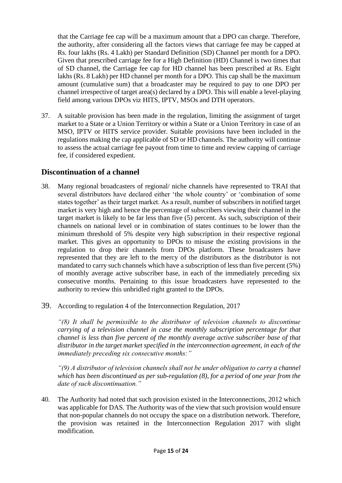that the Carriage fee cap will be a maximum amount that a DPO can charge. Therefore, the authority, after considering all the factors views that carriage fee may be capped at Rs. four lakhs (Rs. 4 Lakh) per Standard Definition (SD) Channel per month for a DPO. Given that prescribed carriage fee for a High Definition (HD) Channel is two times that of SD channel, the Carriage fee cap for HD channel has been prescribed at Rs. Eight lakhs (Rs. 8 Lakh) per HD channel per month for a DPO. This cap shall be the maximum amount (cumulative sum) that a broadcaster may be required to pay to one DPO per channel irrespective of target area(s) declared by a DPO. This will enable a level-playing field among various DPOs viz HITS, IPTV, MSOs and DTH operators.

37. A suitable provision has been made in the regulation, limiting the assignment of target market to a State or a Union Territory or within a State or a Union Territory in case of an MSO, IPTV or HITS service provider. Suitable provisions have been included in the regulations making the cap applicable of SD or HD channels. The authority will continue to assess the actual carriage fee payout from time to time and review capping of carriage fee, if considered expedient.

# **Discontinuation of a channel**

- 38. Many regional broadcasters of regional/ niche channels have represented to TRAI that several distributors have declared either 'the whole country' or 'combination of some states together' as their target market. As a result, number of subscribers in notified target market is very high and hence the percentage of subscribers viewing their channel in the target market is likely to be far less than five (5) percent. As such, subscription of their channels on national level or in combination of states continues to be lower than the minimum threshold of 5% despite very high subscription in their respective regional market. This gives an opportunity to DPOs to misuse the existing provisions in the regulation to drop their channels from DPOs platform. These broadcasters have represented that they are left to the mercy of the distributors as the distributor is not mandated to carry such channels which have a subscription of less than five percent (5%) of monthly average active subscriber base, in each of the immediately preceding six consecutive months. Pertaining to this issue broadcasters have represented to the authority to review this unbridled right granted to the DPOs.
- 39. According to regulation 4 of the Interconnection Regulation, 2017

*"(8) It shall be permissible to the distributor of television channels to discontinue carrying of a television channel in case the monthly subscription percentage for that channel is less than five percent of the monthly average active subscriber base of that distributor in the target market specified in the interconnection agreement, in each of the immediately preceding six consecutive months:"*

*"(9) A distributor of television channels shall not be under obligation to carry a channel which has been discontinued as per sub-regulation (8), for a period of one year from the date of such discontinuation."*

40. The Authority had noted that such provision existed in the Interconnections, 2012 which was applicable for DAS. The Authority was of the view that such provision would ensure that non-popular channels do not occupy the space on a distribution network. Therefore, the provision was retained in the Interconnection Regulation 2017 with slight modification.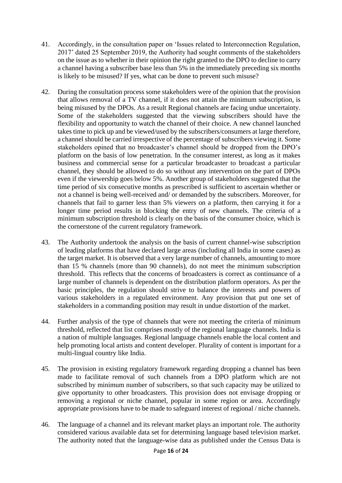- 41. Accordingly, in the consultation paper on 'Issues related to Interconnection Regulation, 2017' dated 25 September 2019, the Authority had sought comments of the stakeholders on the issue as to whether in their opinion the right granted to the DPO to decline to carry a channel having a subscriber base less than 5% in the immediately preceding six months is likely to be misused? If yes, what can be done to prevent such misuse?
- 42. During the consultation process some stakeholders were of the opinion that the provision that allows removal of a TV channel, if it does not attain the minimum subscription, is being misused by the DPOs. As a result Regional channels are facing undue uncertainty. Some of the stakeholders suggested that the viewing subscribers should have the flexibility and opportunity to watch the channel of their choice. A new channel launched takes time to pick up and be viewed/used by the subscribers/consumers at large therefore, a channel should be carried irrespective of the percentage of subscribers viewing it. Some stakeholders opined that no broadcaster's channel should be dropped from the DPO's platform on the basis of low penetration. In the consumer interest, as long as it makes business and commercial sense for a particular broadcaster to broadcast a particular channel, they should be allowed to do so without any intervention on the part of DPOs even if the viewership goes below 5%. Another group of stakeholders suggested that the time period of six consecutive months as prescribed is sufficient to ascertain whether or not a channel is being well-received and/ or demanded by the subscribers. Moreover, for channels that fail to garner less than 5% viewers on a platform, then carrying it for a longer time period results in blocking the entry of new channels. The criteria of a minimum subscription threshold is clearly on the basis of the consumer choice, which is the cornerstone of the current regulatory framework.
- 43. The Authority undertook the analysis on the basis of current channel-wise subscription of leading platforms that have declared large areas (including all India in some cases) as the target market. It is observed that a very large number of channels, amounting to more than 15 % channels (more than 90 channels), do not meet the minimum subscription threshold. This reflects that the concerns of broadcasters is correct as continuance of a large number of channels is dependent on the distribution platform operators. As per the basic principles, the regulation should strive to balance the interests and powers of various stakeholders in a regulated environment. Any provision that put one set of stakeholders in a commanding position may result in undue distortion of the market.
- 44. Further analysis of the type of channels that were not meeting the criteria of minimum threshold, reflected that list comprises mostly of the regional language channels. India is a nation of multiple languages. Regional language channels enable the local content and help promoting local artists and content developer. Plurality of content is important for a multi-lingual country like India.
- 45. The provision in existing regulatory framework regarding dropping a channel has been made to facilitate removal of such channels from a DPO platform which are not subscribed by minimum number of subscribers, so that such capacity may be utilized to give opportunity to other broadcasters. This provision does not envisage dropping or removing a regional or niche channel, popular in some region or area. Accordingly appropriate provisions have to be made to safeguard interest of regional / niche channels.
- 46. The language of a channel and its relevant market plays an important role. The authority considered various available data set for determining language based television market. The authority noted that the language-wise data as published under the Census Data is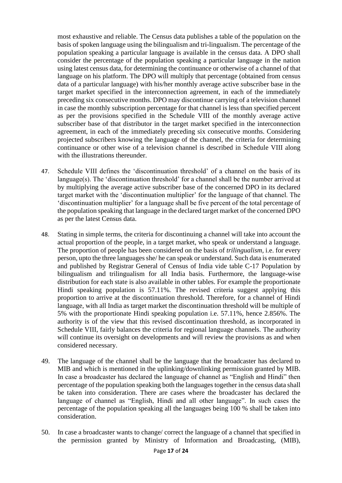most exhaustive and reliable. The Census data publishes a table of the population on the basis of spoken language using the bilingualism and tri-lingualism. The percentage of the population speaking a particular language is available in the census data. A DPO shall consider the percentage of the population speaking a particular language in the nation using latest census data, for determining the continuance or otherwise of a channel of that language on his platform. The DPO will multiply that percentage (obtained from census data of a particular language) with his/her monthly average active subscriber base in the target market specified in the interconnection agreement, in each of the immediately preceding six consecutive months. DPO may discontinue carrying of a television channel in case the monthly subscription percentage for that channel is less than specified percent as per the provisions specified in the Schedule VIII of the monthly average active subscriber base of that distributor in the target market specified in the interconnection agreement, in each of the immediately preceding six consecutive months. Considering projected subscribers knowing the language of the channel, the criteria for determining continuance or other wise of a television channel is described in Schedule VIII along with the illustrations thereunder.

- 47. Schedule VIII defines the 'discontinuation threshold' of a channel on the basis of its language(s). The 'discontinuation threshold' for a channel shall be the number arrived at by multiplying the average active subscriber base of the concerned DPO in its declared target market with the 'discontinuation multiplier' for the language of that channel. The 'discontinuation multiplier' for a language shall be five percent of the total percentage of the population speaking that language in the declared target market of the concerned DPO as per the latest Census data.
- 48. Stating in simple terms, the criteria for discontinuing a channel will take into account the actual proportion of the people, in a target market, who speak or understand a language. The proportion of people has been considered on the basis of *trilingualism,* i.e. for every person, upto the three languages she/ he can speak or understand. Such data is enumerated and published by Registrar General of Census of India vide table C-17 Population by bilingualism and trilingualism for all India basis. Furthermore, the language-wise distribution for each state is also available in other tables. For example the proportionate Hindi speaking population is 57.11%. The revised criteria suggest applying this proportion to arrive at the discontinuation threshold. Therefore, for a channel of Hindi language, with all India as target market the discontinuation threshold will be multiple of 5% with the proportionate Hindi speaking population i.e. 57.11%, hence 2.856%. The authority is of the view that this revised discontinuation threshold, as incorporated in Schedule VIII, fairly balances the criteria for regional language channels. The authority will continue its oversight on developments and will review the provisions as and when considered necessary.
- 49. The language of the channel shall be the language that the broadcaster has declared to MIB and which is mentioned in the uplinking/downlinking permission granted by MIB. In case a broadcaster has declared the language of channel as "English and Hindi" then percentage of the population speaking both the languages together in the census data shall be taken into consideration. There are cases where the broadcaster has declared the language of channel as "English, Hindi and all other language". In such cases the percentage of the population speaking all the languages being 100 % shall be taken into consideration.
- 50. In case a broadcaster wants to change/ correct the language of a channel that specified in the permission granted by Ministry of Information and Broadcasting, (MIB),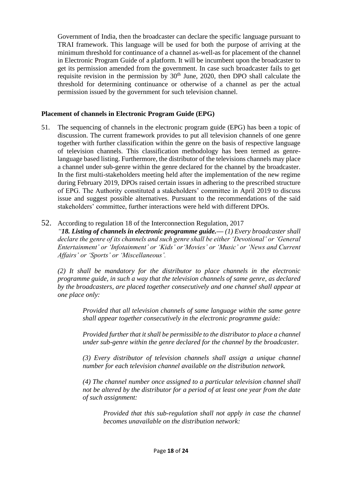Government of India, then the broadcaster can declare the specific language pursuant to TRAI framework. This language will be used for both the purpose of arriving at the minimum threshold for continuance of a channel as-well-as for placement of the channel in Electronic Program Guide of a platform. It will be incumbent upon the broadcaster to get its permission amended from the government. In case such broadcaster fails to get requisite revision in the permission by  $30<sup>th</sup>$  June, 2020, then DPO shall calculate the threshold for determining continuance or otherwise of a channel as per the actual permission issued by the government for such television channel.

## **Placement of channels in Electronic Program Guide (EPG)**

51. The sequencing of channels in the electronic program guide (EPG) has been a topic of discussion. The current framework provides to put all television channels of one genre together with further classification within the genre on the basis of respective language of television channels. This classification methodology has been termed as genrelanguage based listing. Furthermore, the distributor of the televisions channels may place a channel under sub-genre within the genre declared for the channel by the broadcaster. In the first multi-stakeholders meeting held after the implementation of the new regime during February 2019, DPOs raised certain issues in adhering to the prescribed structure of EPG. The Authority constituted a stakeholders' committee in April 2019 to discuss issue and suggest possible alternatives. Pursuant to the recommendations of the said stakeholders' committee, further interactions were held with different DPOs.

### 52. According to regulation 18 of the Interconnection Regulation, 2017

*"18. Listing of channels in electronic programme guide.— (1) Every broadcaster shall declare the genre of its channels and such genre shall be either 'Devotional' or 'General Entertainment' or 'Infotainment' or 'Kids' or'Movies' or 'Music' or 'News and Current Affairs' or 'Sports' or 'Miscellaneous'.*

*(2) It shall be mandatory for the distributor to place channels in the electronic programme guide, in such a way that the television channels of same genre, as declared by the broadcasters, are placed together consecutively and one channel shall appear at one place only:*

> *Provided that all television channels of same language within the same genre shall appear together consecutively in the electronic programme guide:*

> *Provided further that it shall be permissible to the distributor to place a channel under sub-genre within the genre declared for the channel by the broadcaster.*

> *(3) Every distributor of television channels shall assign a unique channel number for each television channel available on the distribution network.*

> *(4) The channel number once assigned to a particular television channel shall not be altered by the distributor for a period of at least one year from the date of such assignment:*

*Provided that this sub-regulation shall not apply in case the channel becomes unavailable on the distribution network:*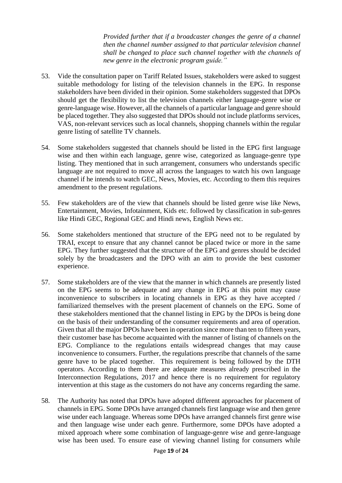*Provided further that if a broadcaster changes the genre of a channel then the channel number assigned to that particular television channel shall be changed to place such channel together with the channels of new genre in the electronic program guide."*

- 53. Vide the consultation paper on Tariff Related Issues, stakeholders were asked to suggest suitable methodology for listing of the television channels in the EPG. In response stakeholders have been divided in their opinion. Some stakeholders suggested that DPOs should get the flexibility to list the television channels either language-genre wise or genre-language wise. However, all the channels of a particular language and genre should be placed together. They also suggested that DPOs should not include platforms services, VAS, non-relevant services such as local channels, shopping channels within the regular genre listing of satellite TV channels.
- 54. Some stakeholders suggested that channels should be listed in the EPG first language wise and then within each language, genre wise, categorized as language-genre type listing. They mentioned that in such arrangement, consumers who understands specific language are not required to move all across the languages to watch his own language channel if he intends to watch GEC, News, Movies, etc. According to them this requires amendment to the present regulations.
- 55. Few stakeholders are of the view that channels should be listed genre wise like News, Entertainment, Movies, Infotainment, Kids etc. followed by classification in sub-genres like Hindi GEC, Regional GEC and Hindi news, English News etc.
- 56. Some stakeholders mentioned that structure of the EPG need not to be regulated by TRAI, except to ensure that any channel cannot be placed twice or more in the same EPG. They further suggested that the structure of the EPG and genres should be decided solely by the broadcasters and the DPO with an aim to provide the best customer experience.
- 57. Some stakeholders are of the view that the manner in which channels are presently listed on the EPG seems to be adequate and any change in EPG at this point may cause inconvenience to subscribers in locating channels in EPG as they have accepted / familiarized themselves with the present placement of channels on the EPG. Some of these stakeholders mentioned that the channel listing in EPG by the DPOs is being done on the basis of their understanding of the consumer requirements and area of operation. Given that all the major DPOs have been in operation since more than ten to fifteen years, their customer base has become acquainted with the manner of listing of channels on the EPG. Compliance to the regulations entails widespread changes that may cause inconvenience to consumers. Further, the regulations prescribe that channels of the same genre have to be placed together. This requirement is being followed by the DTH operators. According to them there are adequate measures already prescribed in the Interconnection Regulations, 2017 and hence there is no requirement for regulatory intervention at this stage as the customers do not have any concerns regarding the same.
- 58. The Authority has noted that DPOs have adopted different approaches for placement of channels in EPG. Some DPOs have arranged channels first language wise and then genre wise under each language. Whereas some DPOs have arranged channels first genre wise and then language wise under each genre. Furthermore, some DPOs have adopted a mixed approach where some combination of language-genre wise and genre-language wise has been used. To ensure ease of viewing channel listing for consumers while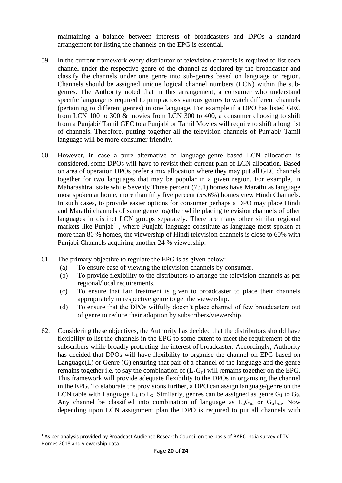maintaining a balance between interests of broadcasters and DPOs a standard arrangement for listing the channels on the EPG is essential.

- 59. In the current framework every distributor of television channels is required to list each channel under the respective genre of the channel as declared by the broadcaster and classify the channels under one genre into sub-genres based on language or region. Channels should be assigned unique logical channel numbers (LCN) within the subgenres. The Authority noted that in this arrangement, a consumer who understand specific language is required to jump across various genres to watch different channels (pertaining to different genres) in one language. For example if a DPO has listed GEC from LCN 100 to 300 & movies from LCN 300 to 400, a consumer choosing to shift from a Punjabi/ Tamil GEC to a Punjabi or Tamil Movies will require to shift a long list of channels. Therefore, putting together all the television channels of Punjabi/ Tamil language will be more consumer friendly.
- 60. However, in case a pure alternative of language-genre based LCN allocation is considered, some DPOs will have to revisit their current plan of LCN allocation. Based on area of operation DPOs prefer a mix allocation where they may put all GEC channels together for two languages that may be popular in a given region. For example, in Maharashtra<sup>1</sup> state while Seventy Three percent  $(73.1)$  homes have Marathi as language most spoken at home, more than fifty five percent (55.6%) homes view Hindi Channels. In such cases, to provide easier options for consumer perhaps a DPO may place Hindi and Marathi channels of same genre together while placing television channels of other languages in distinct LCN groups separately. There are many other similar regional markets like Punjab<sup>1</sup>, where Punjabi language constitute as language most spoken at more than 80 % homes, the viewership of Hindi television channels is close to 60% with Punjabi Channels acquiring another 24 % viewership.
- 61. The primary objective to regulate the EPG is as given below:
	- (a) To ensure ease of viewing the television channels by consumer.
	- (b) To provide flexibility to the distributors to arrange the television channels as per regional/local requirements.
	- (c) To ensure that fair treatment is given to broadcaster to place their channels appropriately in respective genre to get the viewership.
	- (d) To ensure that the DPOs wilfully doesn't place channel of few broadcasters out of genre to reduce their adoption by subscribers/viewership.
- 62. Considering these objectives, the Authority has decided that the distributors should have flexibility to list the channels in the EPG to some extent to meet the requirement of the subscribers while broadly protecting the interest of broadcaster. Accordingly, Authority has decided that DPOs will have flexibility to organise the channel on EPG based on Language(L) or Genre (G) ensuring that pair of a channel of the language and the genre remains together i.e. to say the combination of  $(L_xG_y)$  will remains together on the EPG. This framework will provide adequate flexibility to the DPOs in organising the channel in the EPG. To elaborate the provisions further, a DPO can assign language/genre on the LCN table with Language  $L_1$  to  $L_x$ . Similarly, genres can be assigned as genre  $G_1$  to  $G_9$ . Any channel be classified into combination of language as  $L_nG_m$  or  $G_nL_m$ . Now depending upon LCN assignment plan the DPO is required to put all channels with

<sup>1</sup> As per analysis provided by Broadcast Audience Research Council on the basis of BARC India survey of TV Homes 2018 and viewership data.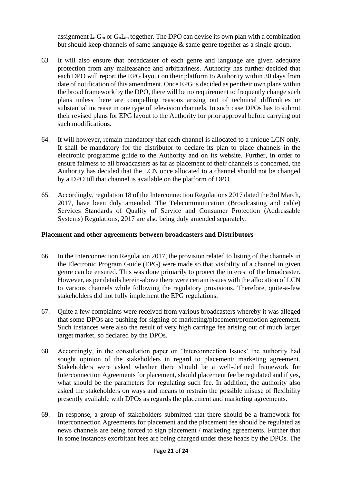assignment  $L_nG_m$  or  $G_nL_m$  together. The DPO can devise its own plan with a combination but should keep channels of same language & same genre together as a single group.

- 63. It will also ensure that broadcaster of each genre and language are given adequate protection from any malfeasance and arbitrariness. Authority has further decided that each DPO will report the EPG layout on their platform to Authority within 30 days from date of notification of this amendment. Once EPG is decided as per their own plans within the broad framework by the DPO, there will be no requirement to frequently change such plans unless there are compelling reasons arising out of technical difficulties or substantial increase in one type of television channels. In such case DPOs has to submit their revised plans for EPG layout to the Authority for prior approval before carrying out such modifications.
- 64. It will however, remain mandatory that each channel is allocated to a unique LCN only. It shall be mandatory for the distributor to declare its plan to place channels in the electronic programme guide to the Authority and on its website. Further, in order to ensure fairness to all broadcasters as far as placement of their channels is concerned, the Authority has decided that the LCN once allocated to a channel should not be changed by a DPO till that channel is available on the platform of DPO.
- 65. Accordingly, regulation 18 of the Interconnection Regulations 2017 dated the 3rd March, 2017, have been duly amended. The Telecommunication (Broadcasting and cable) Services Standards of Quality of Service and Consumer Protection (Addressable Systems) Regulations, 2017 are also being duly amended separately.

### **Placement and other agreements between broadcasters and Distributors**

- 66. In the Interconnection Regulation 2017, the provision related to listing of the channels in the Electronic Program Guide (EPG) were made so that visibility of a channel in given genre can be ensured. This was done primarily to protect the interest of the broadcaster. However, as per details herein-above there were certain issues with the allocation of LCN to various channels while following the regulatory provisions. Therefore, quite-a-few stakeholders did not fully implement the EPG regulations.
- 67. Quite a few complaints were received from various broadcasters whereby it was alleged that some DPOs are pushing for signing of marketing/placement/promotion agreement. Such instances were also the result of very high carriage fee arising out of much larger target market, so declared by the DPOs.
- 68. Accordingly, in the consultation paper on 'Interconnection Issues' the authority had sought opinion of the stakeholders in regard to placement/ marketing agreement. Stakeholders were asked whether there should be a well-defined framework for Interconnection Agreements for placement, should placement fee be regulated and if yes, what should be the parameters for regulating such fee. In addition, the authority also asked the stakeholders on ways and means to restrain the possible misuse of flexibility presently available with DPOs as regards the placement and marketing agreements.
- 69. In response, a group of stakeholders submitted that there should be a framework for Interconnection Agreements for placement and the placement fee should be regulated as news channels are being forced to sign placement / marketing agreements. Further that in some instances exorbitant fees are being charged under these heads by the DPOs. The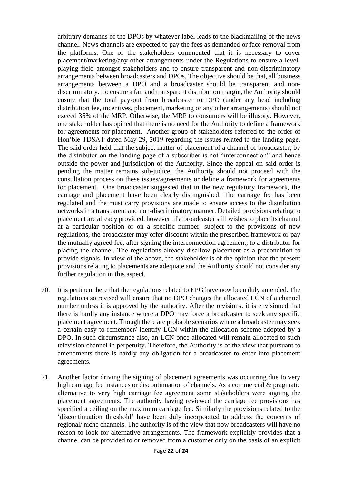arbitrary demands of the DPOs by whatever label leads to the blackmailing of the news channel. News channels are expected to pay the fees as demanded or face removal from the platforms. One of the stakeholders commented that it is necessary to cover placement/marketing/any other arrangements under the Regulations to ensure a levelplaying field amongst stakeholders and to ensure transparent and non-discriminatory arrangements between broadcasters and DPOs. The objective should be that, all business arrangements between a DPO and a broadcaster should be transparent and nondiscriminatory. To ensure a fair and transparent distribution margin, the Authority should ensure that the total pay-out from broadcaster to DPO (under any head including distribution fee, incentives, placement, marketing or any other arrangements) should not exceed 35% of the MRP. Otherwise, the MRP to consumers will be illusory. However, one stakeholder has opined that there is no need for the Authority to define a framework for agreements for placement. Another group of stakeholders referred to the order of Hon'ble TDSAT dated May 29, 2019 regarding the issues related to the landing page. The said order held that the subject matter of placement of a channel of broadcaster, by the distributor on the landing page of a subscriber is not "interconnection" and hence outside the power and jurisdiction of the Authority. Since the appeal on said order is pending the matter remains sub-judice, the Authority should not proceed with the consultation process on these issues/agreements or define a framework for agreements for placement. One broadcaster suggested that in the new regulatory framework, the carriage and placement have been clearly distinguished. The carriage fee has been regulated and the must carry provisions are made to ensure access to the distribution networks in a transparent and non-discriminatory manner. Detailed provisions relating to placement are already provided, however, if a broadcaster still wishes to place its channel at a particular position or on a specific number, subject to the provisions of new regulations, the broadcaster may offer discount within the prescribed framework or pay the mutually agreed fee, after signing the interconnection agreement, to a distributor for placing the channel. The regulations already disallow placement as a precondition to provide signals. In view of the above, the stakeholder is of the opinion that the present provisions relating to placements are adequate and the Authority should not consider any further regulation in this aspect.

- 70. It is pertinent here that the regulations related to EPG have now been duly amended. The regulations so revised will ensure that no DPO changes the allocated LCN of a channel number unless it is approved by the authority. After the revisions, it is envisioned that there is hardly any instance where a DPO may force a broadcaster to seek any specific placement agreement. Though there are probable scenarios where a broadcaster may seek a certain easy to remember/ identify LCN within the allocation scheme adopted by a DPO. In such circumstance also, an LCN once allocated will remain allocated to such television channel in perpetuity. Therefore, the Authority is of the view that pursuant to amendments there is hardly any obligation for a broadcaster to enter into placement agreements.
- 71. Another factor driving the signing of placement agreements was occurring due to very high carriage fee instances or discontinuation of channels. As a commercial & pragmatic alternative to very high carriage fee agreement some stakeholders were signing the placement agreements. The authority having reviewed the carriage fee provisions has specified a ceiling on the maximum carriage fee. Similarly the provisions related to the 'discontinuation threshold' have been duly incorporated to address the concerns of regional/ niche channels. The authority is of the view that now broadcasters will have no reason to look for alternative arrangements. The framework explicitly provides that a channel can be provided to or removed from a customer only on the basis of an explicit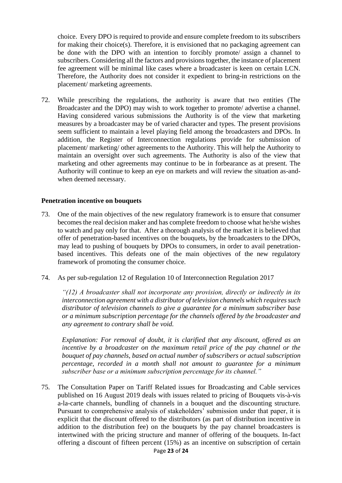choice. Every DPO is required to provide and ensure complete freedom to its subscribers for making their choice(s). Therefore, it is envisioned that no packaging agreement can be done with the DPO with an intention to forcibly promote/ assign a channel to subscribers. Considering all the factors and provisions together, the instance of placement fee agreement will be minimal like cases where a broadcaster is keen on certain LCN. Therefore, the Authority does not consider it expedient to bring-in restrictions on the placement/ marketing agreements.

72. While prescribing the regulations, the authority is aware that two entities (The Broadcaster and the DPO) may wish to work together to promote/ advertise a channel. Having considered various submissions the Authority is of the view that marketing measures by a broadcaster may be of varied character and types. The present provisions seem sufficient to maintain a level playing field among the broadcasters and DPOs. In addition, the Register of Interconnection regulations provide for submission of placement/ marketing/ other agreements to the Authority. This will help the Authority to maintain an oversight over such agreements. The Authority is also of the view that marketing and other agreements may continue to be in forbearance as at present. The Authority will continue to keep an eye on markets and will review the situation as-andwhen deemed necessary.

#### **Penetration incentive on bouquets**

- 73. One of the main objectives of the new regulatory framework is to ensure that consumer becomes the real decision maker and has complete freedom to choose what he/she wishes to watch and pay only for that. After a thorough analysis of the market it is believed that offer of penetration-based incentives on the bouquets, by the broadcasters to the DPOs, may lead to pushing of bouquets by DPOs to consumers, in order to avail penetrationbased incentives. This defeats one of the main objectives of the new regulatory framework of promoting the consumer choice.
- 74. As per sub-regulation 12 of Regulation 10 of Interconnection Regulation 2017

*"(12) A broadcaster shall not incorporate any provision, directly or indirectly in its interconnection agreement with a distributor of television channels which requires such distributor of television channels to give a guarantee for a minimum subscriber base or a minimum subscription percentage for the channels offered by the broadcaster and any agreement to contrary shall be void.*

*Explanation: For removal of doubt, it is clarified that any discount, offered as an incentive by a broadcaster on the maximum retail price of the pay channel or the bouquet of pay channels, based on actual number of subscribers or actual subscription percentage, recorded in a month shall not amount to guarantee for a minimum subscriber base or a minimum subscription percentage for its channel."*

75. The Consultation Paper on Tariff Related issues for Broadcasting and Cable services published on 16 August 2019 deals with issues related to pricing of Bouquets vis-à-vis a-la-carte channels, bundling of channels in a bouquet and the discounting structure. Pursuant to comprehensive analysis of stakeholders' submission under that paper, it is explicit that the discount offered to the distributors (as part of distribution incentive in addition to the distribution fee) on the bouquets by the pay channel broadcasters is intertwined with the pricing structure and manner of offering of the bouquets. In-fact offering a discount of fifteen percent (15%) as an incentive on subscription of certain